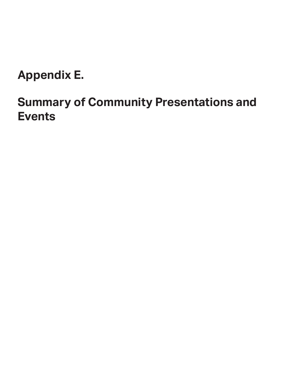**Appendix E.** 

## **Summary of Community Presentations and Events**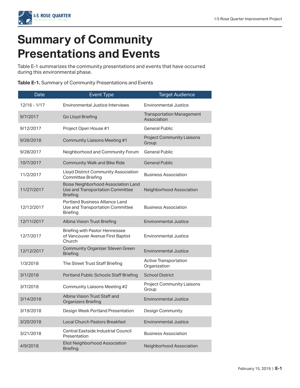

## **Summary of Community Presentations and Events**

Table E-1 summarizes the community presentations and events that have occurred during this environmental phase.

|  |  | Table E-1. Summary of Community Presentations and Events |  |
|--|--|----------------------------------------------------------|--|
|--|--|----------------------------------------------------------|--|

| Date         | <b>Event Type</b>                                                                          | <b>Target Audience</b>                          |
|--------------|--------------------------------------------------------------------------------------------|-------------------------------------------------|
| 12/16 - 1/17 | Environmental Justice Interviews                                                           | <b>Environmental Justice</b>                    |
| 9/7/2017     | Go Lloyd Briefing                                                                          | <b>Transportation Management</b><br>Association |
| 9/12/2017    | Project Open House #1                                                                      | <b>General Public</b>                           |
| 9/26/2018    | <b>Community Liaisons Meeting #1</b>                                                       | <b>Project Community Liaisons</b><br>Group      |
| 9/28/2017    | Neighborhood and Community Forum                                                           | <b>General Public</b>                           |
| 10/7/2017    | <b>Community Walk and Bike Ride</b>                                                        | <b>General Public</b>                           |
| 11/2/2017    | Lloyd District Community Association<br><b>Committee Briefing</b>                          | <b>Business Association</b>                     |
| 11/27/2017   | Boise Neighborhood Association Land<br>Use and Transportation Committee<br><b>Briefing</b> | Neighborhood Association                        |
| 12/12/2017   | Portland Business Alliance Land<br>Use and Transportation Committee<br><b>Briefing</b>     | <b>Business Association</b>                     |
| 12/11/2017   | Albina Vision Trust Briefing                                                               | <b>Environmental Justice</b>                    |
| 12/7/2017    | <b>Briefing with Pastor Hennessee</b><br>of Vancouver Avenue First Baptist<br>Church       | <b>Environmental Justice</b>                    |
| 12/12/2017   | <b>Community Organizer Steven Green</b><br><b>Briefing</b>                                 | <b>Environmental Justice</b>                    |
| 1/3/2018     | The Street Trust Staff Briefing                                                            | <b>Active Transportation</b><br>Organization    |
| 3/1/2018     | Portland Public Schools Staff Briefing                                                     | <b>School District</b>                          |
| 3/7/2018     | Community Liaisons Meeting #2                                                              | <b>Project Community Liaisons</b><br>Group      |
| 3/14/2018    | Albina Vision Trust Staff and<br><b>Organizers Briefing</b>                                | Environmental Justice                           |
| 3/19/2018    | Design Week Portland Presentation                                                          | Design Community                                |
| 3/20/2018    | <b>Local Church Pastors Breakfast</b>                                                      | <b>Environmental Justice</b>                    |
| 3/21/2018    | Central Eastside Industrial Council<br>Presentation                                        | <b>Business Association</b>                     |
| 4/9/2018     | Eliot Neighborhood Association<br><b>Briefing</b>                                          | Neighborhood Association                        |